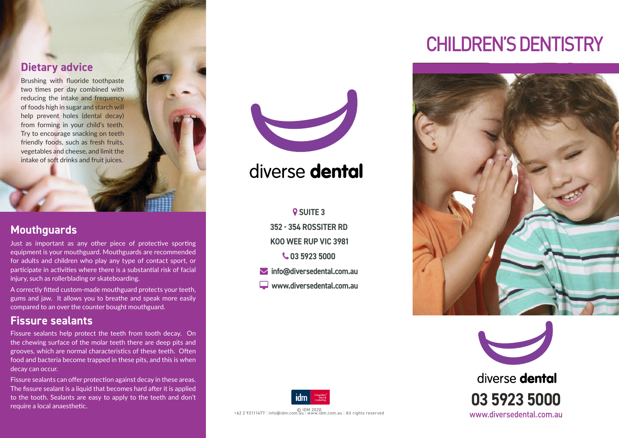### **Dietary advice**

Brushing with fluoride toothpaste two times per day combined with reducing the intake and frequency of foods high in sugar and starch will help prevent holes (dental decay) from forming in your child's teeth. Try to encourage snacking on teeth friendly foods, such as fresh fruits, vegetables and cheese, and limit the intake of soft drinks and fruit juices.

### **Mouthguards**

Just as important as any other piece of protective sporting equipment is your mouthguard. Mouthguards are recommended for adults and children who play any type of contact sport, or participate in activities where there is a substantial risk of facial injury, such as rollerblading or skateboarding.

A correctly fitted custom-made mouthguard protects your teeth, gums and jaw. It allows you to breathe and speak more easily compared to an over the counter bought mouthguard.

### **Fissure sealants**

Fissure sealants help protect the teeth from tooth decay. On the chewing surface of the molar teeth there are deep pits and grooves, which are normal characteristics of these teeth. Often food and bacteria become trapped in these pits, and this is when decay can occur.

Fissure sealants can offer protection against decay in these areas. The fissure sealant is a liquid that becomes hard after it is applied to the tooth. Sealants are easy to apply to the teeth and don't require a local anaesthetic.



### diverse dental

**Q** SUITE 3 **352 - 354 ROSSITER RD KOO WEE RUP VIC 3981 03 5923 5000**

- **info@diversedental.com.au**
- **www.diversedental.com.au**



© IDM 2020 +62 2 92111477 | info@idm.com.au | www.idm.com.au | All rights reserved

## CHILDREN'S DENTISTRY





diverse dental **03 5923 5000** www.diversedental.com.au